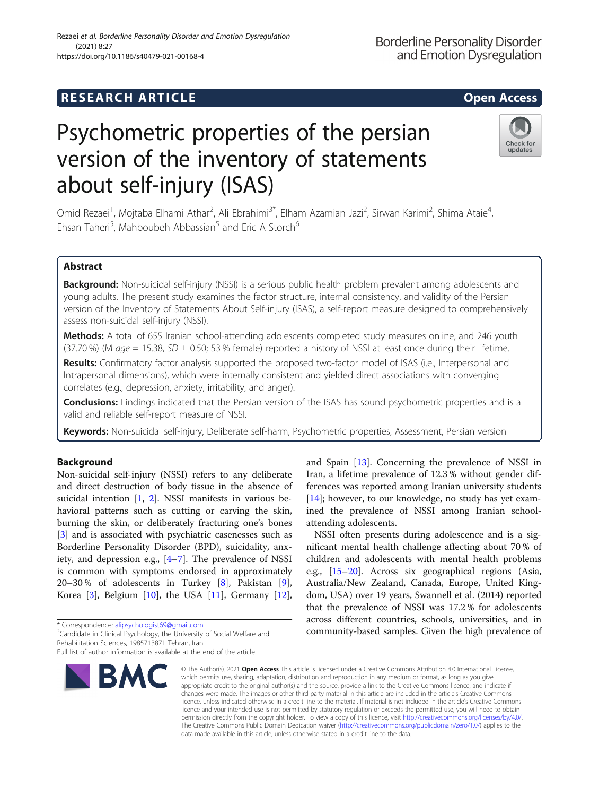# **RESEARCH ARTICLE Example 2014 12:30 The SEAR CH ACCESS**

# Psychometric properties of the persian version of the inventory of statements about self-injury (ISAS)

Omid Rezaei<sup>1</sup>, Mojtaba Elhami Athar<sup>2</sup>, Ali Ebrahimi<sup>3\*</sup>, Elham Azamian Jazi<sup>2</sup>, Sirwan Karimi<sup>2</sup>, Shima Ataie<sup>4</sup> , Ehsan Taheri<sup>5</sup>, Mahboubeh Abbassian<sup>5</sup> and Eric A Storch<sup>6</sup>

# Abstract

Background: Non-suicidal self-injury (NSSI) is a serious public health problem prevalent among adolescents and young adults. The present study examines the factor structure, internal consistency, and validity of the Persian version of the Inventory of Statements About Self-injury (ISAS), a self-report measure designed to comprehensively assess non-suicidal self-injury (NSSI).

Methods: A total of 655 Iranian school-attending adolescents completed study measures online, and 246 youth (37.70 %) (M  $age = 15.38$ ,  $SD \pm 0.50$ ; 53 % female) reported a history of NSSI at least once during their lifetime.

Results: Confirmatory factor analysis supported the proposed two-factor model of ISAS (i.e., Interpersonal and Intrapersonal dimensions), which were internally consistent and yielded direct associations with converging correlates (e.g., depression, anxiety, irritability, and anger).

**Conclusions:** Findings indicated that the Persian version of the ISAS has sound psychometric properties and is a valid and reliable self-report measure of NSSI.

Keywords: Non-suicidal self-injury, Deliberate self-harm, Psychometric properties, Assessment, Persian version

# Background

Non-suicidal self-injury (NSSI) refers to any deliberate and direct destruction of body tissue in the absence of suicidal intention [[1,](#page-7-0) [2](#page-7-0)]. NSSI manifests in various behavioral patterns such as cutting or carving the skin, burning the skin, or deliberately fracturing one's bones [[3\]](#page-7-0) and is associated with psychiatric casenesses such as Borderline Personality Disorder (BPD), suicidality, anxiety, and depression e.g., [[4](#page-7-0)–[7\]](#page-7-0). The prevalence of NSSI is common with symptoms endorsed in approximately 20–30 % of adolescents in Turkey [\[8](#page-7-0)], Pakistan [\[9](#page-7-0)], Korea [[3\]](#page-7-0), Belgium [\[10](#page-7-0)], the USA [[11\]](#page-7-0), Germany [\[12](#page-7-0)],

\* Correspondence: [alipsychologist69@gmail.com](mailto:alipsychologist69@gmail.com) <sup>3</sup>

<sup>3</sup> Candidate in Clinical Psychology, the University of Social Welfare and Rehabilitation Sciences, 1985713871 Tehran, Iran

# Rezaei et al. Borderline Personality Disorder and Emotion Dysregulation (2021) 8:27

**BMC** 

and Spain [[13\]](#page-7-0). Concerning the prevalence of NSSI in Iran, a lifetime prevalence of 12.3 % without gender differences was reported among Iranian university students [[14\]](#page-7-0); however, to our knowledge, no study has yet examined the prevalence of NSSI among Iranian schoolattending adolescents.

NSSI often presents during adolescence and is a significant mental health challenge affecting about 70 % of children and adolescents with mental health problems e.g., [\[15](#page-7-0)–[20\]](#page-7-0). Across six geographical regions (Asia, Australia/New Zealand, Canada, Europe, United Kingdom, USA) over 19 years, Swannell et al. (2014) reported that the prevalence of NSSI was 17.2 % for adolescents across different countries, schools, universities, and in community-based samples. Given the high prevalence of

© The Author(s), 2021 **Open Access** This article is licensed under a Creative Commons Attribution 4.0 International License, which permits use, sharing, adaptation, distribution and reproduction in any medium or format, as long as you give appropriate credit to the original author(s) and the source, provide a link to the Creative Commons licence, and indicate if changes were made. The images or other third party material in this article are included in the article's Creative Commons licence, unless indicated otherwise in a credit line to the material. If material is not included in the article's Creative Commons licence and your intended use is not permitted by statutory regulation or exceeds the permitted use, you will need to obtain permission directly from the copyright holder. To view a copy of this licence, visit [http://creativecommons.org/licenses/by/4.0/.](http://creativecommons.org/licenses/by/4.0/) The Creative Commons Public Domain Dedication waiver [\(http://creativecommons.org/publicdomain/zero/1.0/](http://creativecommons.org/publicdomain/zero/1.0/)) applies to the data made available in this article, unless otherwise stated in a credit line to the data.



**Borderline Personality Disorder** and Emotion Dysregulation





Full list of author information is available at the end of the article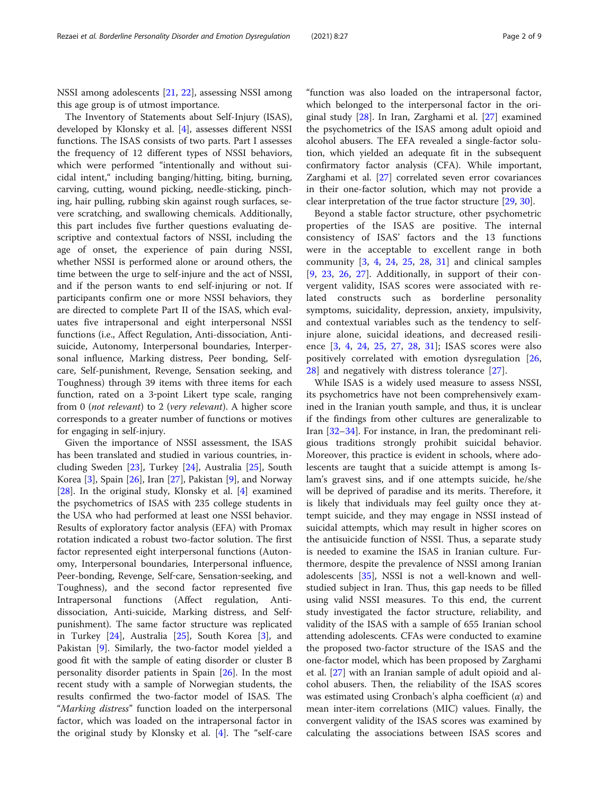NSSI among adolescents [\[21,](#page-7-0) [22](#page-7-0)], assessing NSSI among this age group is of utmost importance.

The Inventory of Statements about Self-Injury (ISAS), developed by Klonsky et al. [\[4](#page-7-0)], assesses different NSSI functions. The ISAS consists of two parts. Part I assesses the frequency of 12 different types of NSSI behaviors, which were performed "intentionally and without suicidal intent," including banging/hitting, biting, burning, carving, cutting, wound picking, needle-sticking, pinching, hair pulling, rubbing skin against rough surfaces, severe scratching, and swallowing chemicals. Additionally, this part includes five further questions evaluating descriptive and contextual factors of NSSI, including the age of onset, the experience of pain during NSSI, whether NSSI is performed alone or around others, the time between the urge to self-injure and the act of NSSI, and if the person wants to end self-injuring or not. If participants confirm one or more NSSI behaviors, they are directed to complete Part II of the ISAS, which evaluates five intrapersonal and eight interpersonal NSSI functions (i.e., Affect Regulation, Anti-dissociation, Antisuicide, Autonomy, Interpersonal boundaries, Interpersonal influence, Marking distress, Peer bonding, Selfcare, Self-punishment, Revenge, Sensation seeking, and Toughness) through 39 items with three items for each function, rated on a 3‐point Likert type scale, ranging from 0 (not relevant) to 2 (very relevant). A higher score corresponds to a greater number of functions or motives for engaging in self-injury.

Given the importance of NSSI assessment, the ISAS has been translated and studied in various countries, including Sweden [\[23](#page-7-0)], Turkey [[24](#page-7-0)], Australia [[25](#page-7-0)], South Korea [[3\]](#page-7-0), Spain [[26](#page-7-0)], Iran [\[27](#page-7-0)], Pakistan [[9\]](#page-7-0), and Norway [[28\]](#page-7-0). In the original study, Klonsky et al. [[4\]](#page-7-0) examined the psychometrics of ISAS with 235 college students in the USA who had performed at least one NSSI behavior. Results of exploratory factor analysis (EFA) with Promax rotation indicated a robust two-factor solution. The first factor represented eight interpersonal functions (Autonomy, Interpersonal boundaries, Interpersonal influence, Peer-bonding, Revenge, Self‐care, Sensation‐seeking, and Toughness), and the second factor represented five Intrapersonal functions (Affect regulation, Antidissociation, Anti-suicide, Marking distress, and Self‐ punishment). The same factor structure was replicated in Turkey [[24\]](#page-7-0), Australia [[25](#page-7-0)], South Korea [\[3](#page-7-0)], and Pakistan [[9\]](#page-7-0). Similarly, the two-factor model yielded a good fit with the sample of eating disorder or cluster B personality disorder patients in Spain [\[26](#page-7-0)]. In the most recent study with a sample of Norwegian students, the results confirmed the two-factor model of ISAS. The "Marking distress" function loaded on the interpersonal factor, which was loaded on the intrapersonal factor in the original study by Klonsky et al. [\[4](#page-7-0)]. The "self-care

"function was also loaded on the intrapersonal factor, which belonged to the interpersonal factor in the original study [\[28\]](#page-7-0). In Iran, Zarghami et al. [\[27](#page-7-0)] examined the psychometrics of the ISAS among adult opioid and alcohol abusers. The EFA revealed a single-factor solution, which yielded an adequate fit in the subsequent confirmatory factor analysis (CFA). While important, Zarghami et al. [[27\]](#page-7-0) correlated seven error covariances in their one-factor solution, which may not provide a clear interpretation of the true factor structure [\[29](#page-7-0), [30\]](#page-7-0).

Beyond a stable factor structure, other psychometric properties of the ISAS are positive. The internal consistency of ISAS' factors and the 13 functions were in the acceptable to excellent range in both community  $\begin{bmatrix} 3, 4, 24, 25, 28, 31 \end{bmatrix}$  $\begin{bmatrix} 3, 4, 24, 25, 28, 31 \end{bmatrix}$  $\begin{bmatrix} 3, 4, 24, 25, 28, 31 \end{bmatrix}$  $\begin{bmatrix} 3, 4, 24, 25, 28, 31 \end{bmatrix}$  $\begin{bmatrix} 3, 4, 24, 25, 28, 31 \end{bmatrix}$  $\begin{bmatrix} 3, 4, 24, 25, 28, 31 \end{bmatrix}$  $\begin{bmatrix} 3, 4, 24, 25, 28, 31 \end{bmatrix}$  $\begin{bmatrix} 3, 4, 24, 25, 28, 31 \end{bmatrix}$  $\begin{bmatrix} 3, 4, 24, 25, 28, 31 \end{bmatrix}$  $\begin{bmatrix} 3, 4, 24, 25, 28, 31 \end{bmatrix}$  $\begin{bmatrix} 3, 4, 24, 25, 28, 31 \end{bmatrix}$  and clinical samples [[9](#page-7-0), [23](#page-7-0), [26](#page-7-0), [27](#page-7-0)]. Additionally, in support of their convergent validity, ISAS scores were associated with related constructs such as borderline personality symptoms, suicidality, depression, anxiety, impulsivity, and contextual variables such as the tendency to selfinjure alone, suicidal ideations, and decreased resilience [[3,](#page-7-0) [4](#page-7-0), [24](#page-7-0), [25](#page-7-0), [27,](#page-7-0) [28,](#page-7-0) [31\]](#page-7-0); ISAS scores were also positively correlated with emotion dysregulation [\[26](#page-7-0), [28\]](#page-7-0) and negatively with distress tolerance [\[27](#page-7-0)].

While ISAS is a widely used measure to assess NSSI, its psychometrics have not been comprehensively examined in the Iranian youth sample, and thus, it is unclear if the findings from other cultures are generalizable to Iran [[32](#page-7-0)–[34](#page-7-0)]. For instance, in Iran, the predominant religious traditions strongly prohibit suicidal behavior. Moreover, this practice is evident in schools, where adolescents are taught that a suicide attempt is among Islam's gravest sins, and if one attempts suicide, he/she will be deprived of paradise and its merits. Therefore, it is likely that individuals may feel guilty once they attempt suicide, and they may engage in NSSI instead of suicidal attempts, which may result in higher scores on the antisuicide function of NSSI. Thus, a separate study is needed to examine the ISAS in Iranian culture. Furthermore, despite the prevalence of NSSI among Iranian adolescents [[35](#page-7-0)], NSSI is not a well-known and wellstudied subject in Iran. Thus, this gap needs to be filled using valid NSSI measures. To this end, the current study investigated the factor structure, reliability, and validity of the ISAS with a sample of 655 Iranian school attending adolescents. CFAs were conducted to examine the proposed two-factor structure of the ISAS and the one-factor model, which has been proposed by Zarghami et al. [\[27\]](#page-7-0) with an Iranian sample of adult opioid and alcohol abusers. Then, the reliability of the ISAS scores was estimated using Cronbach's alpha coefficient  $(\alpha)$  and mean inter-item correlations (MIC) values. Finally, the convergent validity of the ISAS scores was examined by calculating the associations between ISAS scores and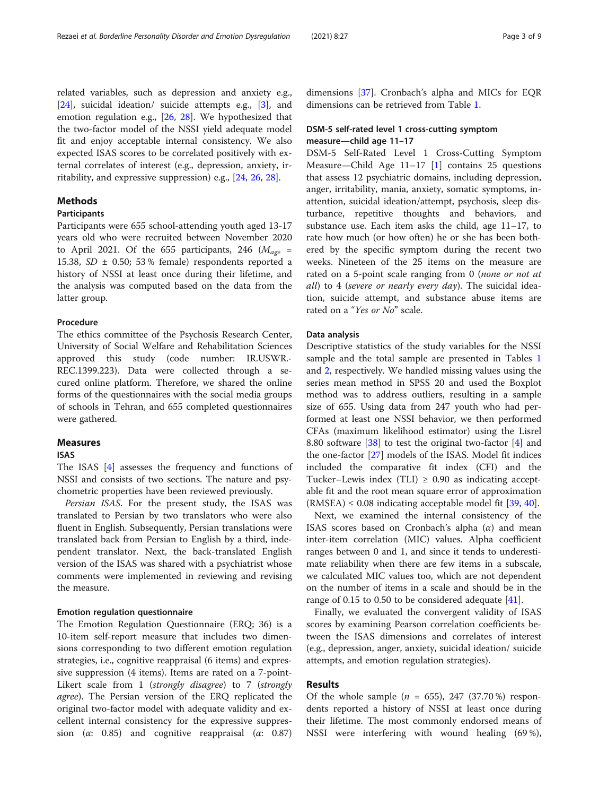related variables, such as depression and anxiety e.g., [[24\]](#page-7-0), suicidal ideation/ suicide attempts e.g., [\[3](#page-7-0)], and emotion regulation e.g., [\[26](#page-7-0), [28](#page-7-0)]. We hypothesized that the two-factor model of the NSSI yield adequate model fit and enjoy acceptable internal consistency. We also expected ISAS scores to be correlated positively with external correlates of interest (e.g., depression, anxiety, irritability, and expressive suppression) e.g., [\[24](#page-7-0), [26](#page-7-0), [28\]](#page-7-0).

# Methods

# Participants

Participants were 655 school-attending youth aged 13-17 years old who were recruited between November 2020 to April 2021. Of the 655 participants, 246 ( $M_{\text{age}}$  = 15.38,  $SD \pm 0.50$ ; 53 % female) respondents reported a history of NSSI at least once during their lifetime, and the analysis was computed based on the data from the latter group.

#### **Procedure**

The ethics committee of the Psychosis Research Center, University of Social Welfare and Rehabilitation Sciences approved this study (code number: IR.USWR.- REC.1399.223). Data were collected through a secured online platform. Therefore, we shared the online forms of the questionnaires with the social media groups of schools in Tehran, and 655 completed questionnaires were gathered.

#### Measures

# ISAS

The ISAS [\[4](#page-7-0)] assesses the frequency and functions of NSSI and consists of two sections. The nature and psychometric properties have been reviewed previously.

Persian ISAS. For the present study, the ISAS was translated to Persian by two translators who were also fluent in English. Subsequently, Persian translations were translated back from Persian to English by a third, independent translator. Next, the back-translated English version of the ISAS was shared with a psychiatrist whose comments were implemented in reviewing and revising the measure.

# Emotion regulation questionnaire

The Emotion Regulation Questionnaire (ERQ; 36) is a 10-item self-report measure that includes two dimensions corresponding to two different emotion regulation strategies, i.e., cognitive reappraisal (6 items) and expressive suppression (4 items). Items are rated on a 7-point-Likert scale from 1 (strongly disagree) to 7 (strongly agree). The Persian version of the ERQ replicated the original two-factor model with adequate validity and excellent internal consistency for the expressive suppression ( $\alpha$ : 0.85) and cognitive reappraisal ( $\alpha$ : 0.87)

dimensions [[37\]](#page-7-0). Cronbach's alpha and MICs for EQR dimensions can be retrieved from Table [1](#page-3-0).

# DSM-5 self-rated level 1 cross-cutting symptom measure—child age 11–17

DSM-5 Self-Rated Level 1 Cross-Cutting Symptom Measure—Child Age 11–17 [[1\]](#page-7-0) contains 25 questions that assess 12 psychiatric domains, including depression, anger, irritability, mania, anxiety, somatic symptoms, inattention, suicidal ideation/attempt, psychosis, sleep disturbance, repetitive thoughts and behaviors, and substance use. Each item asks the child, age 11–17, to rate how much (or how often) he or she has been bothered by the specific symptom during the recent two weeks. Nineteen of the 25 items on the measure are rated on a 5-point scale ranging from 0 (none or not at all) to 4 (severe or nearly every day). The suicidal ideation, suicide attempt, and substance abuse items are rated on a "Yes or No" scale.

## Data analysis

Descriptive statistics of the study variables for the NSSI sample and the total sample are presented in Tables [1](#page-3-0) and [2,](#page-4-0) respectively. We handled missing values using the series mean method in SPSS 20 and used the Boxplot method was to address outliers, resulting in a sample size of 655. Using data from 247 youth who had performed at least one NSSI behavior, we then performed CFAs (maximum likelihood estimator) using the Lisrel 8.80 software [[38\]](#page-8-0) to test the original two-factor [[4\]](#page-7-0) and the one-factor [[27\]](#page-7-0) models of the ISAS. Model fit indices included the comparative fit index (CFI) and the Tucker–Lewis index (TLI)  $\geq$  0.90 as indicating acceptable fit and the root mean square error of approximation  $(RMSEA) \leq 0.08$  indicating acceptable model fit [[39](#page-8-0), [40](#page-8-0)].

Next, we examined the internal consistency of the ISAS scores based on Cronbach's alpha  $(\alpha)$  and mean inter-item correlation (MIC) values. Αlpha coefficient ranges between 0 and 1, and since it tends to underestimate reliability when there are few items in a subscale, we calculated MIC values too, which are not dependent on the number of items in a scale and should be in the range of 0.15 to 0.50 to be considered adequate [\[41](#page-8-0)].

Finally, we evaluated the convergent validity of ISAS scores by examining Pearson correlation coefficients between the ISAS dimensions and correlates of interest (e.g., depression, anger, anxiety, suicidal ideation/ suicide attempts, and emotion regulation strategies).

# Results

Of the whole sample ( $n = 655$ ), 247 (37.70 %) respondents reported a history of NSSI at least once during their lifetime. The most commonly endorsed means of NSSI were interfering with wound healing (69 %),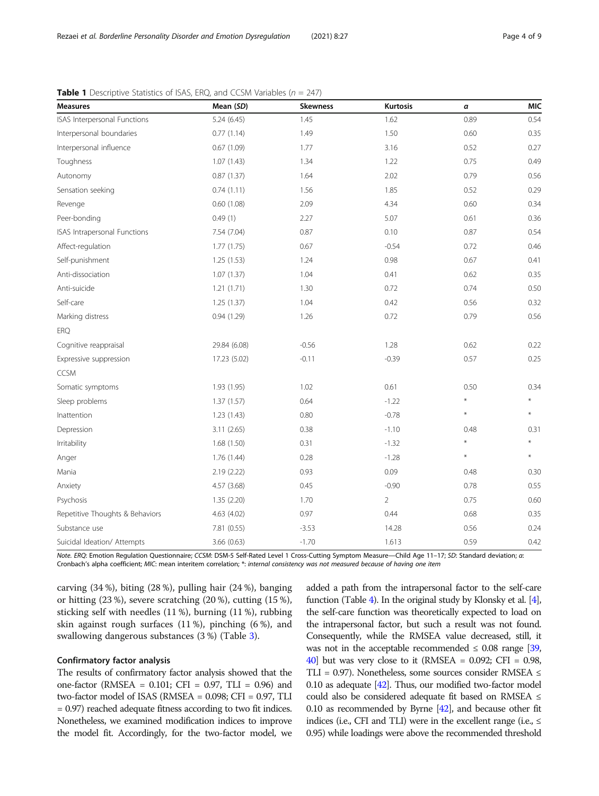| <b>Measures</b>                 | Mean (SD)    | <b>Skewness</b> | <b>Kurtosis</b> | a       | <b>MIC</b> |
|---------------------------------|--------------|-----------------|-----------------|---------|------------|
| ISAS Interpersonal Functions    | 5.24(6.45)   | 1.45            | 1.62            | 0.89    | 0.54       |
| Interpersonal boundaries        | 0.77(1.14)   | 1.49            | 1.50            | 0.60    | 0.35       |
| Interpersonal influence         | 0.67(1.09)   | 1.77            | 3.16            | 0.52    | 0.27       |
| Toughness                       | 1.07(1.43)   | 1.34            | 1.22            | 0.75    | 0.49       |
| Autonomy                        | 0.87(1.37)   | 1.64            | 2.02            | 0.79    | 0.56       |
| Sensation seeking               | 0.74(1.11)   | 1.56            | 1.85            | 0.52    | 0.29       |
| Revenge                         | 0.60(1.08)   | 2.09            | 4.34            | 0.60    | 0.34       |
| Peer-bonding                    | 0.49(1)      | 2.27            | 5.07            | 0.61    | 0.36       |
| ISAS Intrapersonal Functions    | 7.54 (7.04)  | 0.87            | 0.10            | 0.87    | 0.54       |
| Affect-regulation               | 1.77(1.75)   | 0.67            | $-0.54$         | 0.72    | 0.46       |
| Self-punishment                 | 1.25(1.53)   | 1.24            | 0.98            | 0.67    | 0.41       |
| Anti-dissociation               | 1.07(1.37)   | 1.04            | 0.41            | 0.62    | 0.35       |
| Anti-suicide                    | 1.21(1.71)   | 1.30            | 0.72            | 0.74    | 0.50       |
| Self-care                       | 1.25 (1.37)  | 1.04            | 0.42            | 0.56    | 0.32       |
| Marking distress                | 0.94(1.29)   | 1.26            | 0.72            | 0.79    | 0.56       |
| <b>ERQ</b>                      |              |                 |                 |         |            |
| Cognitive reappraisal           | 29.84 (6.08) | $-0.56$         | 1.28            | 0.62    | 0.22       |
| Expressive suppression          | 17.23 (5.02) | $-0.11$         | $-0.39$         | 0.57    | 0.25       |
| <b>CCSM</b>                     |              |                 |                 |         |            |
| Somatic symptoms                | 1.93 (1.95)  | 1.02            | 0.61            | 0.50    | 0.34       |
| Sleep problems                  | 1.37(1.57)   | 0.64            | $-1.22$         | $\star$ |            |
| Inattention                     | 1.23 (1.43)  | 0.80            | $-0.78$         | $\ast$  | ¥          |
| Depression                      | 3.11(2.65)   | 0.38            | $-1.10$         | 0.48    | 0.31       |
| Irritability                    | 1.68(1.50)   | 0.31            | $-1.32$         | $\star$ | $\star$    |
| Anger                           | 1.76 (1.44)  | 0.28            | $-1.28$         | $\star$ | ¥          |
| Mania                           | 2.19 (2.22)  | 0.93            | 0.09            | 0.48    | 0.30       |
| Anxiety                         | 4.57 (3.68)  | 0.45            | $-0.90$         | 0.78    | 0.55       |
| Psychosis                       | 1.35 (2.20)  | 1.70            | $\overline{2}$  | 0.75    | 0.60       |
| Repetitive Thoughts & Behaviors | 4.63 (4.02)  | 0.97            | 0.44            | 0.68    | 0.35       |
| Substance use                   | 7.81 (0.55)  | $-3.53$         | 14.28           | 0.56    | 0.24       |
| Suicidal Ideation/ Attempts     | 3.66 (0.63)  | $-1.70$         | 1.613           | 0.59    | 0.42       |

<span id="page-3-0"></span>

Note. ERQ: Emotion Regulation Questionnaire; CCSM: DSM-5 Self-Rated Level 1 Cross-Cutting Symptom Measure—Child Age 11–17; SD: Standard deviation; α: Cronbach's alpha coefficient; MIC: mean interitem correlation; \*: internal consistency was not measured because of having one item

carving (34 %), biting (28 %), pulling hair (24 %), banging or hitting (23 %), severe scratching (20 %), cutting (15 %), sticking self with needles (11 %), burning (11 %), rubbing skin against rough surfaces (11 %), pinching (6 %), and swallowing dangerous substances (3 %) (Table [3\)](#page-4-0).

### Confirmatory factor analysis

The results of confirmatory factor analysis showed that the one-factor (RMSEA = 0.101; CFI = 0.97, TLI = 0.96) and two-factor model of ISAS (RMSEA = 0.098; CFI = 0.97, TLI = 0.97) reached adequate fitness according to two fit indices. Nonetheless, we examined modification indices to improve the model fit. Accordingly, for the two-factor model, we

added a path from the intrapersonal factor to the self-care function (Table [4\)](#page-5-0). In the original study by Klonsky et al. [\[4](#page-7-0)], the self-care function was theoretically expected to load on the intrapersonal factor, but such a result was not found. Consequently, while the RMSEA value decreased, still, it was not in the acceptable recommended  $\leq 0.08$  range [\[39](#page-8-0), [40](#page-8-0)] but was very close to it (RMSEA =  $0.092$ ; CFI =  $0.98$ , TLI = 0.97). Nonetheless, some sources consider RMSEA ≤ 0.10 as adequate [\[42](#page-8-0)]. Thus, our modified two-factor model could also be considered adequate fit based on RMSEA  $\leq$ 0.10 as recommended by Byrne [\[42](#page-8-0)], and because other fit indices (i.e., CFI and TLI) were in the excellent range (i.e.,  $\leq$ 0.95) while loadings were above the recommended threshold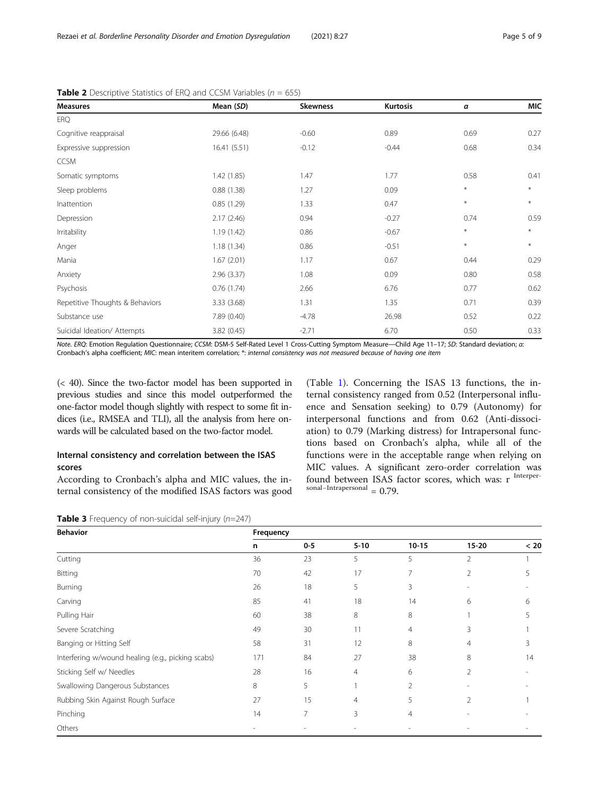<span id="page-4-0"></span>Rezaei et al. Borderline Personality Disorder and Emotion Dysregulation (2021) 8:27 Page 5 of 9

| <b>Measures</b>                 | Mean (SD)    | <b>Skewness</b> | <b>Kurtosis</b> | α      | <b>MIC</b> |
|---------------------------------|--------------|-----------------|-----------------|--------|------------|
| <b>ERQ</b>                      |              |                 |                 |        |            |
| Cognitive reappraisal           | 29.66 (6.48) | $-0.60$         | 0.89            | 0.69   | 0.27       |
| Expressive suppression          | 16.41(5.51)  | $-0.12$         | $-0.44$         | 0.68   | 0.34       |
| <b>CCSM</b>                     |              |                 |                 |        |            |
| Somatic symptoms                | 1.42 (1.85)  | 1.47            | 1.77            | 0.58   | 0.41       |
| Sleep problems                  | 0.88(1.38)   | 1.27            | 0.09            | $\ast$ | $*$        |
| Inattention                     | 0.85(1.29)   | 1.33            | 0.47            | $\ast$ | $\ast$     |
| Depression                      | 2.17(2.46)   | 0.94            | $-0.27$         | 0.74   | 0.59       |
| Irritability                    | 1.19(1.42)   | 0.86            | $-0.67$         | $\ast$ | $*$        |
| Anger                           | 1.18(1.34)   | 0.86            | $-0.51$         | $\ast$ | $*$        |
| Mania                           | 1.67(2.01)   | 1.17            | 0.67            | 0.44   | 0.29       |
| Anxiety                         | 2.96(3.37)   | 1.08            | 0.09            | 0.80   | 0.58       |
| Psychosis                       | 0.76(1.74)   | 2.66            | 6.76            | 0.77   | 0.62       |
| Repetitive Thoughts & Behaviors | 3.33 (3.68)  | 1.31            | 1.35            | 0.71   | 0.39       |
| Substance use                   | 7.89 (0.40)  | $-4.78$         | 26.98           | 0.52   | 0.22       |
| Suicidal Ideation/ Attempts     | 3.82(0.45)   | $-2.71$         | 6.70            | 0.50   | 0.33       |

**Table 2** Descriptive Statistics of ERQ and CCSM Variables ( $n = 655$ )

Note. ERQ: Emotion Regulation Questionnaire; CCSM: DSM-5 Self-Rated Level 1 Cross-Cutting Symptom Measure—Child Age 11–17; SD: Standard deviation; α: Cronbach's alpha coefficient; MIC: mean interitem correlation; \*: internal consistency was not measured because of having one item

(< 40). Since the two-factor model has been supported in previous studies and since this model outperformed the one-factor model though slightly with respect to some fit indices (i.e., RMSEA and TLI), all the analysis from here onwards will be calculated based on the two-factor model.

# Internal consistency and correlation between the ISAS scores

According to Cronbach's alpha and MIC values, the internal consistency of the modified ISAS factors was good

(Table [1](#page-3-0)). Concerning the ISAS 13 functions, the internal consistency ranged from 0.52 (Interpersonal influence and Sensation seeking) to 0.79 (Autonomy) for interpersonal functions and from 0.62 (Anti-dissociation) to 0.79 (Marking distress) for Intrapersonal functions based on Cronbach's alpha, while all of the functions were in the acceptable range when relying on MIC values. A significant zero-order correlation was found between ISAS factor scores, which was: r Interpersonal–Intrapersonal  $= 0.79$ .

**Table 3** Frequency of non-suicidal self-injury ( $n=247$ )

| <b>Behavior</b>                                   | Frequency |       |          |                |                |      |
|---------------------------------------------------|-----------|-------|----------|----------------|----------------|------|
|                                                   | n         | $0-5$ | $5 - 10$ | $10 - 15$      | $15 - 20$      | < 20 |
| Cutting                                           | 36        | 23    | 5        | 5              | $\overline{2}$ |      |
| Bitting                                           | 70        | 42    | 17       | 7              | 2              | 5    |
| Burning                                           | 26        | 18    | 5        | 3              |                |      |
| Carving                                           | 85        | 41    | 18       | 14             | 6              | 6    |
| Pulling Hair                                      | 60        | 38    | 8        | 8              |                | 5    |
| Severe Scratching                                 | 49        | 30    | 11       | 4              | 3              |      |
| Banging or Hitting Self                           | 58        | 31    | 12       | 8              | 4              | 3    |
| Interfering w/wound healing (e.g., picking scabs) | 171       | 84    | 27       | 38             | 8              | 14   |
| Sticking Self w/ Needles                          | 28        | 16    | 4        | 6              | 2              |      |
| Swallowing Dangerous Substances                   | 8         | 5     |          | $\overline{2}$ |                |      |
| Rubbing Skin Against Rough Surface                | 27        | 15    | 4        | 5              | $\overline{2}$ |      |
| Pinching                                          | 14        | 7     | 3        | 4              |                |      |
| Others                                            |           |       |          |                |                |      |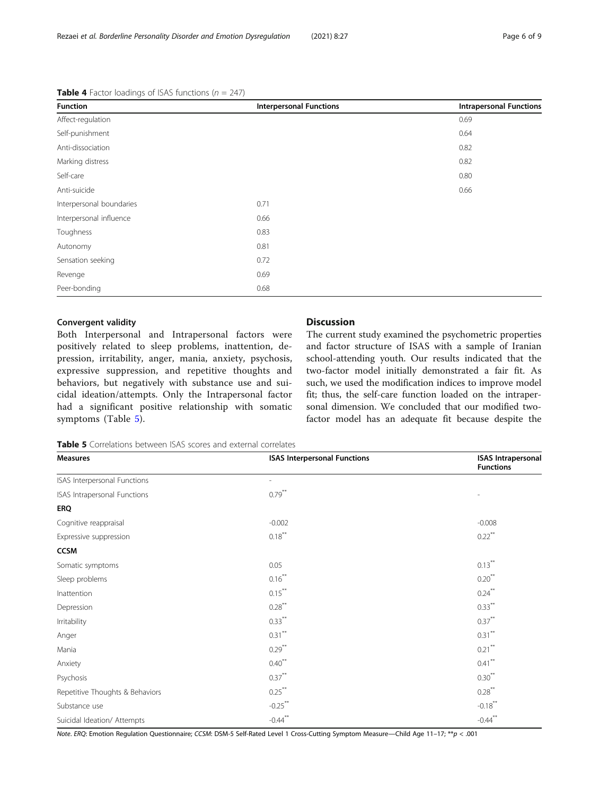pression, irritability, anger, mania, anxiety, psychosis, expressive suppression, and repetitive thoughts and behaviors, but negatively with substance use and suicidal ideation/attempts. Only the Intrapersonal factor had a significant positive relationship with somatic symptoms (Table 5).

Both Interpersonal and Intrapersonal factors were positively related to sleep problems, inattention, deDiscussion

The current study examined the psychometric properties and factor structure of ISAS with a sample of Iranian school-attending youth. Our results indicated that the two-factor model initially demonstrated a fair fit. As such, we used the modification indices to improve model fit; thus, the self-care function loaded on the intrapersonal dimension. We concluded that our modified twofactor model has an adequate fit because despite the

# <span id="page-5-0"></span>**Table 4** Factor loadings of ISAS functions ( $n = 247$ )

Convergent validity

Note. ERQ: Emotion Regulation Questionnaire; CCSM: DSM-5 Self-Rated Level 1 Cross-Cutting Symptom Measure—Child Age 11–17; \*\*p < .001

| Table 5 Correlations between ISAS scores and external correlates |                                     |                                               |  |  |
|------------------------------------------------------------------|-------------------------------------|-----------------------------------------------|--|--|
| <b>Measures</b>                                                  | <b>ISAS Interpersonal Functions</b> | <b>ISAS Intrapersonal</b><br><b>Functions</b> |  |  |
| ISAS Interpersonal Functions                                     |                                     |                                               |  |  |
| ISAS Intrapersonal Functions                                     | $0.79***$                           |                                               |  |  |
| <b>ERQ</b>                                                       |                                     |                                               |  |  |
| Cognitive reappraisal                                            | $-0.002$                            | $-0.008$                                      |  |  |
| Expressive suppression                                           | $0.18***$                           | $0.22$ <sup>**</sup>                          |  |  |
| <b>CCSM</b>                                                      |                                     |                                               |  |  |
| Somatic symptoms                                                 | 0.05                                | $0.13***$                                     |  |  |
| Sleep problems                                                   | $0.16***$                           | $0.20$ <sup>**</sup>                          |  |  |
| Inattention                                                      | $0.15***$                           | $0.24***$                                     |  |  |
| Depression                                                       | $0.28***$                           | $0.33***$                                     |  |  |
| Irritability                                                     | $0.33***$                           | $0.37***$                                     |  |  |
| Anger                                                            | $0.31***$                           | $0.31***$                                     |  |  |
| Mania                                                            | $0.29***$                           | $0.21$ <sup>**</sup>                          |  |  |
| Anxiety                                                          | $0.40***$                           | $0.41$ <sup>**</sup>                          |  |  |
| Psychosis                                                        | $0.37***$                           | $0.30**$                                      |  |  |
| Repetitive Thoughts & Behaviors                                  | $0.25***$                           | $0.28$ <sup>**</sup>                          |  |  |
| Substance use                                                    | $-0.25***$                          | $-0.18***$                                    |  |  |
| Suicidal Ideation/ Attempts                                      | $-0.44$ **                          | $-0.44$ **                                    |  |  |

| <b>Function</b>          | <b>Interpersonal Functions</b> |      |
|--------------------------|--------------------------------|------|
| Affect-regulation        |                                | 0.69 |
| Self-punishment          |                                | 0.64 |
| Anti-dissociation        |                                | 0.82 |
| Marking distress         |                                | 0.82 |
| Self-care                |                                | 0.80 |
| Anti-suicide             |                                | 0.66 |
| Interpersonal boundaries | 0.71                           |      |
| Interpersonal influence  | 0.66                           |      |
| Toughness                | 0.83                           |      |
| Autonomy                 | 0.81                           |      |
| Sensation seeking        | 0.72                           |      |
| Revenge                  | 0.69                           |      |
| Peer-bonding             | 0.68                           |      |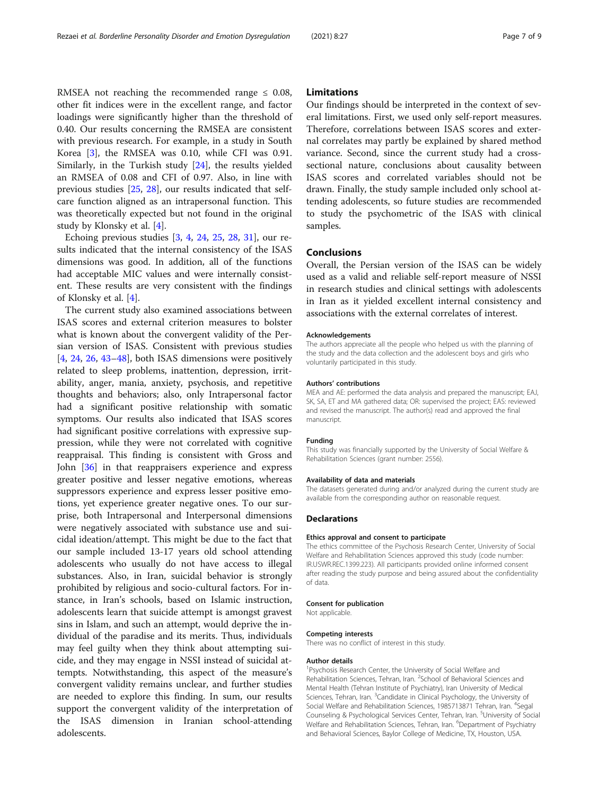RMSEA not reaching the recommended range  $\leq$  0.08, other fit indices were in the excellent range, and factor loadings were significantly higher than the threshold of 0.40. Our results concerning the RMSEA are consistent with previous research. For example, in a study in South Korea [\[3\]](#page-7-0), the RMSEA was 0.10, while CFI was 0.91. Similarly, in the Turkish study [\[24](#page-7-0)], the results yielded an RMSEA of 0.08 and CFI of 0.97. Also, in line with previous studies [[25,](#page-7-0) [28](#page-7-0)], our results indicated that selfcare function aligned as an intrapersonal function. This was theoretically expected but not found in the original study by Klonsky et al. [\[4](#page-7-0)].

Echoing previous studies [\[3](#page-7-0), [4](#page-7-0), [24,](#page-7-0) [25](#page-7-0), [28,](#page-7-0) [31](#page-7-0)], our results indicated that the internal consistency of the ISAS dimensions was good. In addition, all of the functions had acceptable MIC values and were internally consistent. These results are very consistent with the findings of Klonsky et al. [[4\]](#page-7-0).

The current study also examined associations between ISAS scores and external criterion measures to bolster what is known about the convergent validity of the Persian version of ISAS. Consistent with previous studies [[4,](#page-7-0) [24,](#page-7-0) [26](#page-7-0), [43](#page-8-0)–[48](#page-8-0)], both ISAS dimensions were positively related to sleep problems, inattention, depression, irritability, anger, mania, anxiety, psychosis, and repetitive thoughts and behaviors; also, only Intrapersonal factor had a significant positive relationship with somatic symptoms. Our results also indicated that ISAS scores had significant positive correlations with expressive suppression, while they were not correlated with cognitive reappraisal. This finding is consistent with Gross and John [[36\]](#page-7-0) in that reappraisers experience and express greater positive and lesser negative emotions, whereas suppressors experience and express lesser positive emotions, yet experience greater negative ones. To our surprise, both Intrapersonal and Interpersonal dimensions were negatively associated with substance use and suicidal ideation/attempt. This might be due to the fact that our sample included 13-17 years old school attending adolescents who usually do not have access to illegal substances. Also, in Iran, suicidal behavior is strongly prohibited by religious and socio-cultural factors. For instance, in Iran's schools, based on Islamic instruction, adolescents learn that suicide attempt is amongst gravest sins in Islam, and such an attempt, would deprive the individual of the paradise and its merits. Thus, individuals may feel guilty when they think about attempting suicide, and they may engage in NSSI instead of suicidal attempts. Notwithstanding, this aspect of the measure's convergent validity remains unclear, and further studies are needed to explore this finding. In sum, our results support the convergent validity of the interpretation of the ISAS dimension in Iranian school-attending adolescents.

#### Limitations

Our findings should be interpreted in the context of several limitations. First, we used only self-report measures. Therefore, correlations between ISAS scores and external correlates may partly be explained by shared method variance. Second, since the current study had a crosssectional nature, conclusions about causality between ISAS scores and correlated variables should not be drawn. Finally, the study sample included only school attending adolescents, so future studies are recommended to study the psychometric of the ISAS with clinical samples.

## Conclusions

Overall, the Persian version of the ISAS can be widely used as a valid and reliable self-report measure of NSSI in research studies and clinical settings with adolescents in Iran as it yielded excellent internal consistency and associations with the external correlates of interest.

#### Acknowledgements

The authors appreciate all the people who helped us with the planning of the study and the data collection and the adolescent boys and girls who voluntarily participated in this study.

#### Authors' contributions

MEA and AE: performed the data analysis and prepared the manuscript; EAJ, SK, SA, ET and MA gathered data; OR: supervised the project; EAS: reviewed and revised the manuscript. The author(s) read and approved the final manuscript.

#### Funding

This study was financially supported by the University of Social Welfare & Rehabilitation Sciences (grant number: 2556).

#### Availability of data and materials

The datasets generated during and/or analyzed during the current study are available from the corresponding author on reasonable request.

#### **Declarations**

#### Ethics approval and consent to participate

The ethics committee of the Psychosis Research Center, University of Social Welfare and Rehabilitation Sciences approved this study (code number: IR.USWR.REC.1399.223). All participants provided online informed consent after reading the study purpose and being assured about the confidentiality of data.

#### Consent for publication

Not applicable.

#### Competing interests

There was no conflict of interest in this study.

#### Author details

<sup>1</sup> Psychosis Research Center, the University of Social Welfare and Rehabilitation Sciences, Tehran, Iran. <sup>2</sup>School of Behavioral Sciences and Mental Health (Tehran Institute of Psychiatry), Iran University of Medical Sciences, Tehran, Iran. <sup>3</sup>Candidate in Clinical Psychology, the University of Social Welfare and Rehabilitation Sciences, 1985713871 Tehran, Iran. <sup>4</sup>Segal Counseling & Psychological Services Center, Tehran, Iran. <sup>5</sup>University of Social Welfare and Rehabilitation Sciences, Tehran, Iran. <sup>6</sup>Department of Psychiatry and Behavioral Sciences, Baylor College of Medicine, TX, Houston, USA.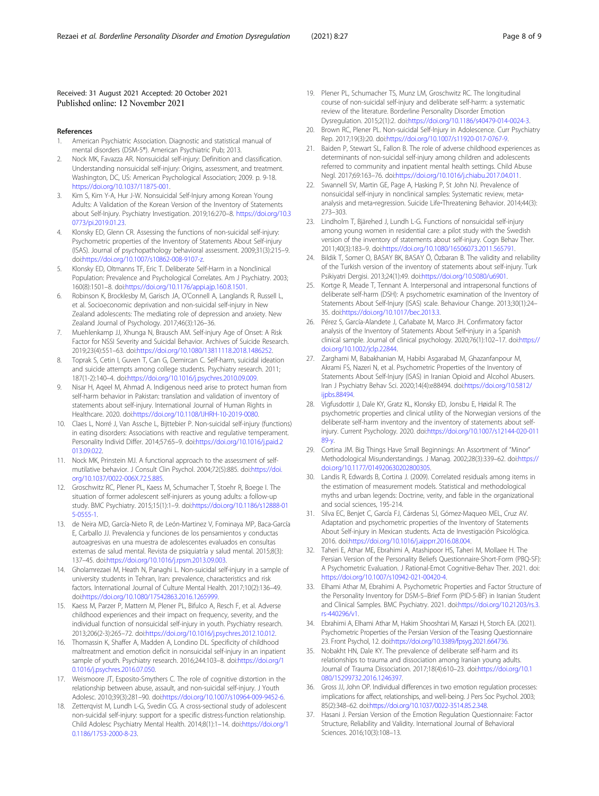#### <span id="page-7-0"></span>Received: 31 August 2021 Accepted: 20 October 2021 Published online: 12 November 2021

- References
- 1. American Psychiatric Association. Diagnostic and statistical manual of mental disorders (DSM-5®). American Psychiatric Pub; 2013.
- 2. Nock MK, Favazza AR. Nonsuicidal self-injury: Definition and classification. Understanding nonsuicidal self-injury: Origins, assessment, and treatment. Washington, DC, US: American Psychological Association; 2009. p. 9-18. <https://doi.org/10.1037/11875-001>.
- Kim S, Kim Y-A, Hur J-W. Nonsuicidal Self-Injury among Korean Young Adults: A Validation of the Korean Version of the Inventory of Statements about Self-Injury. Psychiatry Investigation. 2019;16:270–8. [https://doi.org/10.3](https://doi.org/10.30773/pi.2019.01.23) [0773/pi.2019.01.23.](https://doi.org/10.30773/pi.2019.01.23)
- 4. Klonsky ED, Glenn CR. Assessing the functions of non-suicidal self-injury: Psychometric properties of the Inventory of Statements About Self-injury (ISAS). Journal of psychopathology behavioral assessment. 2009;31(3):215–9. doi[:https://doi.org/10.1007/s10862-008-9107-z.](https://doi.org/10.1007/s10862-008-9107-z)
- 5. Klonsky ED, Oltmanns TF, Eric T. Deliberate Self-Harm in a Nonclinical Population: Prevalence and Psychological Correlates. Am J Psychiatry. 2003; 160(8):1501–8. doi[:https://doi.org/10.1176/appi.ajp.160.8.1501.](https://doi.org/10.1176/appi.ajp.160.8.1501)
- Robinson K, Brocklesby M, Garisch JA, O'Connell A, Langlands R, Russell L, et al. Socioeconomic deprivation and non-suicidal self-injury in New Zealand adolescents: The mediating role of depression and anxiety. New Zealand Journal of Psychology. 2017;46(3):126–36.
- 7. Muehlenkamp JJ, Xhunga N, Brausch AM. Self-injury Age of Onset: A Risk Factor for NSSI Severity and Suicidal Behavior. Archives of Suicide Research. 2019;23(4):551–63. doi:<https://doi.org/10.1080/13811118.2018.1486252>.
- Toprak S, Cetin I, Guven T, Can G, Demircan C. Self-harm, suicidal ideation and suicide attempts among college students. Psychiatry research. 2011; 187(1-2):140–4. doi:<https://doi.org/10.1016/j.psychres.2010.09.009>.
- 9. Nisar H, Aqeel M, Ahmad A. Indigenous need arise to protect human from self-harm behavior in Pakistan: translation and validation of inventory of statements about self-injury. International Journal of Human Rights in Healthcare. 2020. doi:[https://doi.org/10.1108/IJHRH-10-2019-0080.](https://doi.org/10.1108/IJHRH-10-2019-0080)
- 10. Claes L, Norré J, Van Assche L, Bijttebier P. Non-suicidal self-injury (functions) in eating disorders: Associations with reactive and regulative temperament. Personality Individ Differ. 2014;57:65–9. doi:[https://doi.org/10.1016/j.paid.2](https://doi.org/10.1016/j.paid.2013.09.022) [013.09.022](https://doi.org/10.1016/j.paid.2013.09.022).
- 11. Nock MK, Prinstein MJ. A functional approach to the assessment of selfmutilative behavior. J Consult Clin Psychol. 2004;72(5):885. doi:[https://doi.](https://doi.org/10.1037/0022-006X.72.5.885) [org/10.1037/0022-006X.72.5.885.](https://doi.org/10.1037/0022-006X.72.5.885)
- 12. Groschwitz RC, Plener PL, Kaess M, Schumacher T, Stoehr R, Boege I. The situation of former adolescent self-injurers as young adults: a follow-up study. BMC Psychiatry. 2015;15(1):1–9. doi[:https://doi.org/10.1186/s12888-01](https://doi.org/10.1186/s12888-015-0555-1) [5-0555-1](https://doi.org/10.1186/s12888-015-0555-1).
- 13. de Neira MD, García-Nieto R, de León-Martinez V, Fominaya MP, Baca-García E, Carballo JJ. Prevalencia y funciones de los pensamientos y conductas autoagresivas en una muestra de adolescentes evaluados en consultas externas de salud mental. Revista de psiquiatría y salud mental. 2015;8(3): 137–45. doi:<https://doi.org/10.1016/j.rpsm.2013.09.003>.
- 14. Gholamrezaei M, Heath N, Panaghi L. Non-suicidal self-injury in a sample of university students in Tehran, Iran: prevalence, characteristics and risk factors. International Journal of Culture Mental Health. 2017;10(2):136–49. doi[:https://doi.org/10.1080/17542863.2016.1265999](https://doi.org/10.1080/17542863.2016.1265999).
- 15. Kaess M, Parzer P, Mattern M, Plener PL, Bifulco A, Resch F, et al. Adverse childhood experiences and their impact on frequency, severity, and the individual function of nonsuicidal self-injury in youth. Psychiatry research. 2013;206(2-3):265–72. doi:[https://doi.org/10.1016/j.psychres.2012.10.012.](https://doi.org/10.1016/j.psychres.2012.10.012)
- 16. Thomassin K, Shaffer A, Madden A, Londino DL. Specificity of childhood maltreatment and emotion deficit in nonsuicidal self-injury in an inpatient sample of youth. Psychiatry research. 2016;244:103–8. doi[:https://doi.org/1](https://doi.org/10.1016/j.psychres.2016.07.050) [0.1016/j.psychres.2016.07.050.](https://doi.org/10.1016/j.psychres.2016.07.050)
- 17. Weismoore JT, Esposito-Smythers C. The role of cognitive distortion in the relationship between abuse, assault, and non-suicidal self-injury. J Youth Adolesc. 2010;39(3):281–90. doi:<https://doi.org/10.1007/s10964-009-9452-6>.
- 18. Zetterqvist M, Lundh L-G, Svedin CG. A cross-sectional study of adolescent non-suicidal self-injury: support for a specific distress-function relationship. Child Adolesc Psychiatry Mental Health. 2014;8(1):1–14. doi:[https://doi.org/1](https://doi.org/10.1186/1753-2000-8-23) [0.1186/1753-2000-8-23](https://doi.org/10.1186/1753-2000-8-23).
- 19. Plener PL, Schumacher TS, Munz LM, Groschwitz RC. The longitudinal course of non-suicidal self-injury and deliberate self-harm: a systematic review of the literature. Borderline Personality Disorder Emotion Dysregulation. 2015;2(1):2. doi:<https://doi.org/10.1186/s40479-014-0024-3>.
- 20. Brown RC, Plener PL. Non-suicidal Self-Injury in Adolescence. Curr Psychiatry Rep. 2017;19(3):20. doi[:https://doi.org/10.1007/s11920-017-0767-9.](https://doi.org/10.1007/s11920-017-0767-9)
- 21. Baiden P, Stewart SL, Fallon B. The role of adverse childhood experiences as determinants of non-suicidal self-injury among children and adolescents referred to community and inpatient mental health settings. Child Abuse Negl. 2017;69:163–76. doi[:https://doi.org/10.1016/j.chiabu.2017.04.011.](https://doi.org/10.1016/j.chiabu.2017.04.011)
- 22. Swannell SV, Martin GE, Page A, Hasking P, St John NJ. Prevalence of nonsuicidal self-injury in nonclinical samples: Systematic review, meta‐ analysis and meta-regression. Suicide Life-Threatening Behavior. 2014;44(3): 273–303.
- 23. Lindholm T, Bjärehed J, Lundh L-G. Functions of nonsuicidal self-injury among young women in residential care: a pilot study with the Swedish version of the inventory of statements about self-injury. Cogn Behav Ther. 2011;40(3):183–9. doi:[https://doi.org/10.1080/16506073.2011.565791.](https://doi.org/10.1080/16506073.2011.565791)
- 24. Bildik T, Somer O, BASAY BK, BASAY Ö, Özbaran B. The validity and reliability of the Turkish version of the inventory of statements about self-injury. Turk Psikiyatri Dergisi. 2013;24(1):49. doi[:https://doi.org/10.5080/u6901.](https://doi.org/10.5080/u6901)
- 25. Kortge R, Meade T, Tennant A. Interpersonal and intrapersonal functions of deliberate self-harm (DSH): A psychometric examination of the Inventory of Statements About Self-Injury (ISAS) scale. Behaviour Change. 2013;30(1):24– 35. doi[:https://doi.org/10.1017/bec.2013.3](https://doi.org/10.1017/bec.2013.3).
- 26. Pérez S, García-Alandete J, Cañabate M, Marco JH. Confirmatory factor analysis of the Inventory of Statements About Self-injury in a Spanish clinical sample. Journal of clinical psychology. 2020;76(1):102–17. doi[:https://](https://doi.org/10.1002/jclp.22844) [doi.org/10.1002/jclp.22844.](https://doi.org/10.1002/jclp.22844)
- 27. Zarghami M, Babakhanian M, Habibi Asgarabad M, Ghazanfanpour M, Akrami FS, Nazeri N, et al. Psychometric Properties of the Inventory of Statements About Self-Injury (ISAS) in Iranian Opioid and Alcohol Abusers. Iran J Psychiatry Behav Sci. 2020;14(4):e88494. doi:[https://doi.org/10.5812/](https://doi.org/10.5812/ijpbs.88494) iipbs.88494.
- 28. Vigfusdottir J, Dale KY, Gratz KL, Klonsky ED, Jonsbu E, Høidal R. The psychometric properties and clinical utility of the Norwegian versions of the deliberate self-harm inventory and the inventory of statements about selfinjury. Current Psychology. 2020. doi:[https://doi.org/10.1007/s12144-020-011](https://doi.org/10.1007/s12144-020-01189-y) [89-y.](https://doi.org/10.1007/s12144-020-01189-y)
- 29. Cortina JM. Big Things Have Small Beginnings: An Assortment of "Minor" Methodological Misunderstandings. J Manag. 2002;28(3):339–62. doi[:https://](https://doi.org/10.1177/014920630202800305) [doi.org/10.1177/014920630202800305.](https://doi.org/10.1177/014920630202800305)
- 30. Landis R, Edwards B, Cortina J. (2009). Correlated residuals among items in the estimation of measurement models. Statistical and methodological myths and urban legends: Doctrine, verity, and fable in the organizational and social sciences, 195-214.
- 31. Silva EC, Benjet C, García FJ, Cárdenas SJ, Gómez-Maqueo MEL, Cruz AV. Adaptation and psychometric properties of the Inventory of Statements About Self-injury in Mexican students. Acta de Investigación Psicológica. 2016. doi[:https://doi.org/10.1016/j.aipprr.2016.08.004.](https://doi.org/10.1016/j.aipprr.2016.08.004)
- 32. Taheri E, Athar ME, Ebrahimi A, Atashipoor HS, Taheri M, Mollaee H. The Persian Version of the Personality Beliefs Questionnaire-Short-Form (PBQ-SF): A Psychometric Evaluation. J Rational-Emot Cognitive-Behav Ther. 2021. doi: [https://doi.org/10.1007/s10942-021-00420-4.](https://doi.org/10.1007/s10942-021-00420-4)
- 33. Elhami Athar M, Ebrahimi A. Psychometric Properties and Factor Structure of the Personality Inventory for DSM-5–Brief Form (PID-5-BF) in Iranian Student and Clinical Samples. BMC Psychiatry. 2021. doi:[https://doi.org/10.21203/rs.3.](https://doi.org/10.21203/rs.3.rs-440296/v1) [rs-440296/v1.](https://doi.org/10.21203/rs.3.rs-440296/v1)
- 34. Ebrahimi A, Elhami Athar M, Hakim Shooshtari M, Karsazi H, Storch EA. (2021). Psychometric Properties of the Persian Version of the Teasing Questionnaire 23. Front Psychol, 12. doi[:https://doi.org/10.3389/fpsyg.2021.664736.](https://doi.org/10.3389/fpsyg.2021.664736)
- 35. Nobakht HN, Dale KY. The prevalence of deliberate self-harm and its relationships to trauma and dissociation among Iranian young adults. Journal of Trauma Dissociation. 2017;18(4):610–23. doi[:https://doi.org/10.1](https://doi.org/10.1080/15299732.2016.1246397) [080/15299732.2016.1246397.](https://doi.org/10.1080/15299732.2016.1246397)
- 36. Gross JJ, John OP. Individual differences in two emotion regulation processes: implications for affect, relationships, and well-being. J Pers Soc Psychol. 2003; 85(2):348–62. doi[:https://doi.org/10.1037/0022-3514.85.2.348](https://doi.org/10.1037/0022-3514.85.2.348).
- 37. Hasani J. Persian Version of the Emotion Regulation Questionnaire: Factor Structure, Reliability and Validity. International Journal of Behavioral Sciences. 2016;10(3):108–13.